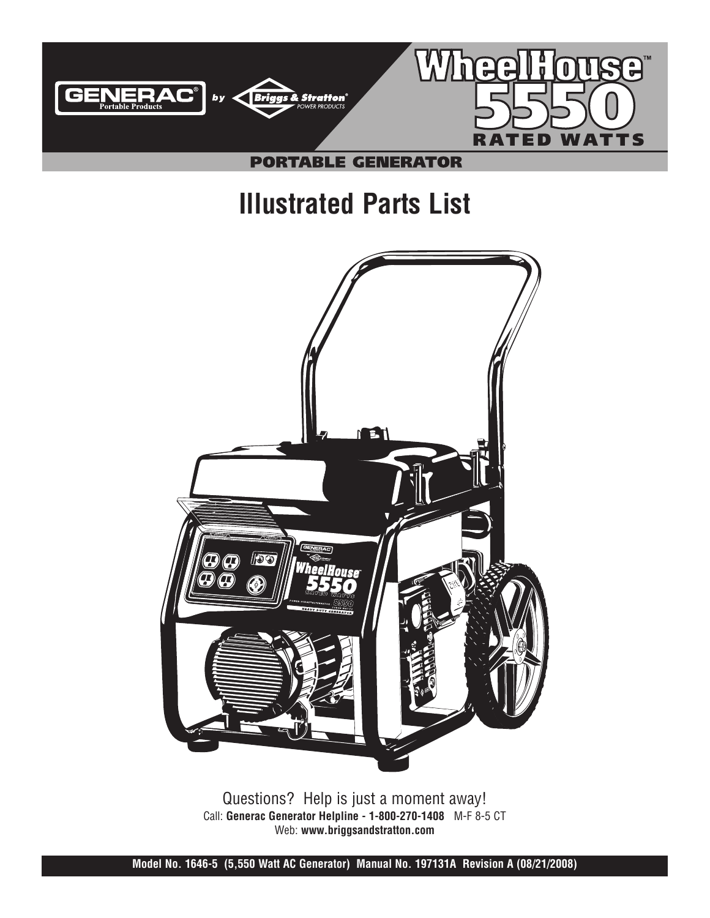

# **Illustrated Parts List**



Questions? Help is just a moment away! Call: **Generac Generator Helpline - 1-800-270-1408** M-F 8-5 CT Web: **www.briggsandstratton.com**

**Model No. 1646-5 (5,550 Watt AC Generator) Manual No. 197131A Revision A (08/21/2008)**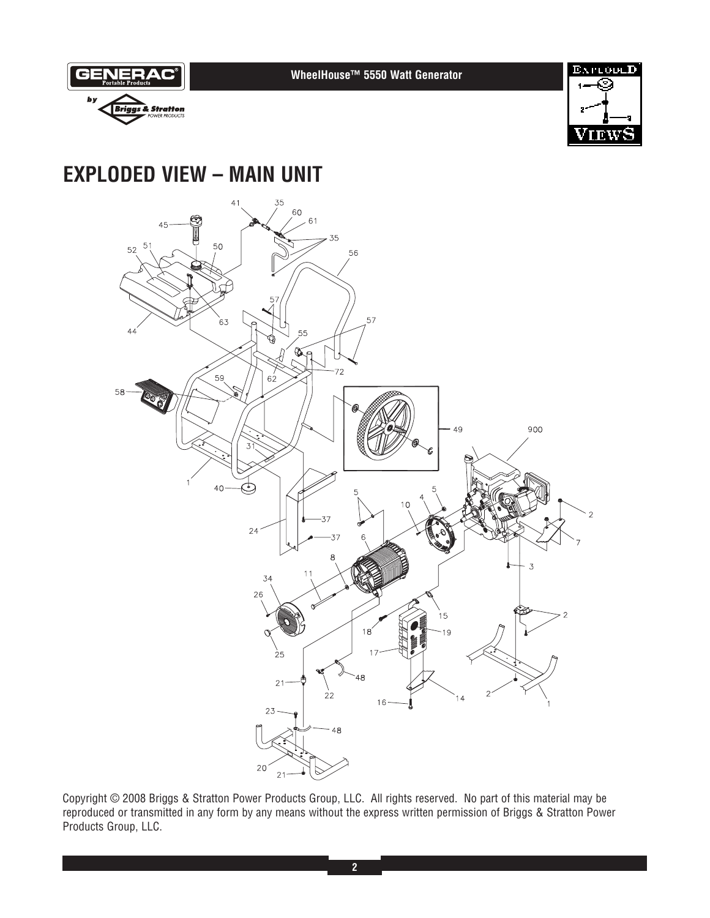

 $\overline{3}$ 

 $15$ 

Copyright © 2008 Briggs & Stratton Power Products Group, LLC. All rights reserved. No part of this material may be reproduced or transmitted in any form by any means without the express written permission of Briggs & Stratton Power Products Group, LLC.

 $\dot{2}2$ 

48

 $26$ 

.<br>25

 $21$ 

23

20

18

 $16$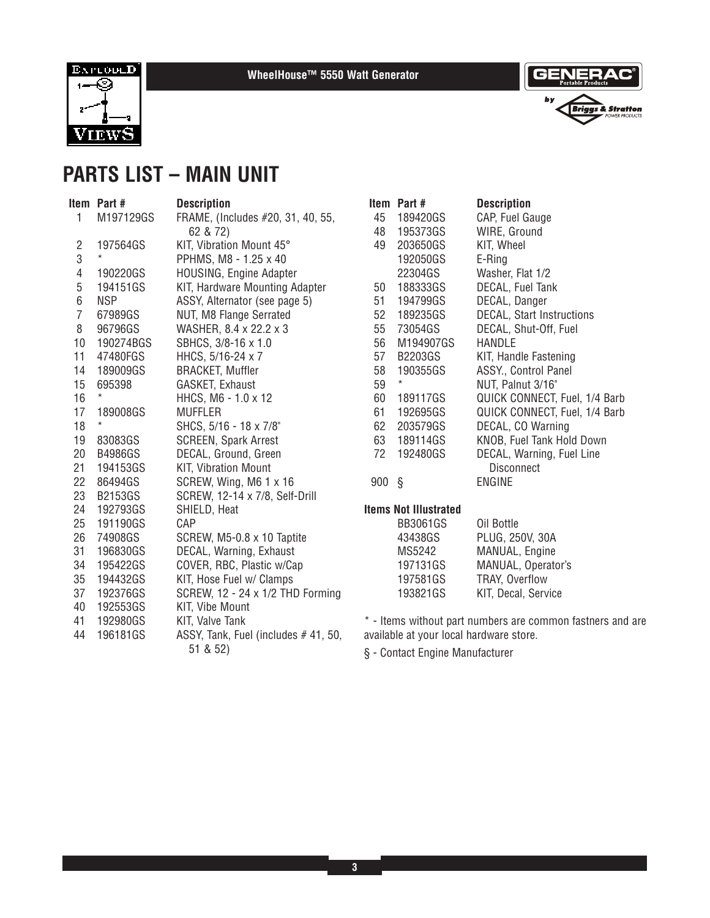

**WheelHouse™ 5550 Watt Generator**



### **PARTS LIST – MAIN UNIT**

| ltem | Part #         | <b>Description</b>                              |
|------|----------------|-------------------------------------------------|
| 1    | M197129GS      | FRAME, (Includes #20, 31, 40, 55,<br>62 & 72)   |
| 2    | 197564GS       | KIT, Vibration Mount 45°                        |
| 3    | *              | PPHMS, M8 - 1.25 x 40                           |
| 4    | 190220GS       | <b>HOUSING, Engine Adapter</b>                  |
| 5    | 194151GS       | KIT, Hardware Mounting Adapter                  |
| 6    | NSP            | ASSY, Alternator (see page 5)                   |
| 7    | 67989GS        | NUT, M8 Flange Serrated                         |
| 8    | 96796GS        | WASHER, 8.4 x 22.2 x 3                          |
| 10   | 190274BGS      | SBHCS, 3/8-16 x 1.0                             |
| 11   | 47480FGS       | HHCS, 5/16-24 x 7                               |
| 14   | 189009GS       | <b>BRACKET, Muffler</b>                         |
| 15   | 695398         | GASKET, Exhaust                                 |
| 16   | *              | HHCS, M6 - 1.0 x 12                             |
| 17   | 189008GS       | <b>MUFFLER</b>                                  |
| 18   | $\star$        | SHCS, 5/16 - 18 x 7/8"                          |
| 19   | 83083GS        | <b>SCREEN, Spark Arrest</b>                     |
| 20   | B4986GS        | DECAL, Ground, Green                            |
| 21   | 194153GS       | KIT, Vibration Mount                            |
| 22   | 86494GS        | SCREW, Wing, M6 1 x 16                          |
| 23   | <b>B2153GS</b> | SCREW, 12-14 x 7/8, Self-Drill                  |
| 24   | 192793GS       | SHIELD, Heat                                    |
| 25   | 191190GS       | CAP                                             |
| 26   | 74908GS        | SCREW, M5-0.8 x 10 Taptite                      |
| 31   | 196830GS       | DECAL, Warning, Exhaust                         |
| 34   | 195422GS       | COVER, RBC, Plastic w/Cap                       |
| 35   | 194432GS       | KIT, Hose Fuel w/ Clamps                        |
| 37   | 192376GS       | SCREW, 12 - 24 x 1/2 THD Forming                |
| 40   | 192553GS       | KIT, Vibe Mount                                 |
| 41   | 192980GS       | KIT, Valve Tank                                 |
| 44   | 196181GS       | ASSY, Tank, Fuel (includes #41, 50,<br>51 & 52) |

|     | ltem Part #<br>45 189420GS | <b>Description</b><br>CAP, Fuel Gauge |
|-----|----------------------------|---------------------------------------|
|     | 48 195373GS                | WIRE, Ground                          |
|     | 49 203650GS                | KIT, Wheel                            |
|     | 192050GS                   | E-Ring                                |
|     | 22304GS                    | Washer, Flat 1/2                      |
| 50  | 188333GS                   | <b>DECAL, Fuel Tank</b>               |
| 51  | 194799GS                   | DECAL, Danger                         |
|     | 52 189235GS                | <b>DECAL, Start Instructions</b>      |
|     | 55 73054GS                 | DECAL, Shut-Off, Fuel                 |
| 56  | M194907GS                  | HANDI F                               |
| 57  | <b>B2203GS</b>             | KIT, Handle Fastening                 |
| 58  | 190355GS                   | ASSY., Control Panel                  |
| 59  | $^\star$                   | NUT, Palnut 3/16"                     |
| 60  | 189117GS                   | QUICK CONNECT, Fuel, 1/4 Barb         |
| 61  | 192695GS                   | QUICK CONNECT, Fuel, 1/4 Barb         |
| 62  | 203579GS                   | DECAL, CO Warning                     |
|     | 63 189114GS                | <b>KNOB, Fuel Tank Hold Down</b>      |
| 72  | 192480GS                   | DECAL, Warning, Fuel Line             |
|     |                            | Disconnect                            |
| 900 | ş                          | ENGINE                                |
|     |                            |                                       |

### **Items Not Illustrated**

\* - Items without part numbers are common fastners and are available at your local hardware store.

§ - Contact Engine Manufacturer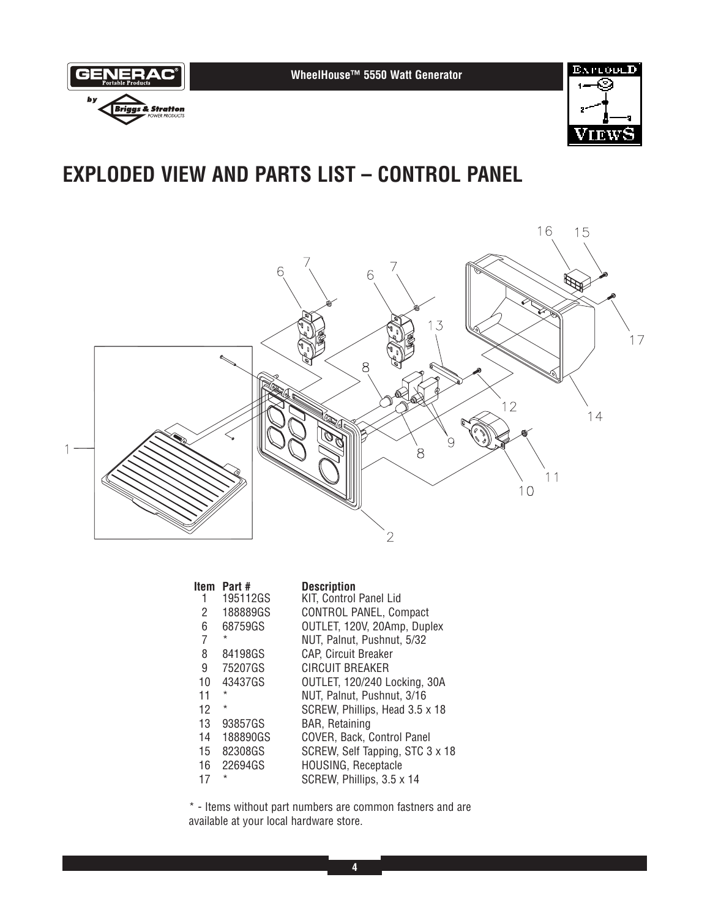



### **EXPLODED VIEW AND PARTS LIST – CONTROL PANEL**



|    | Item Part# | <b>Description</b>                |
|----|------------|-----------------------------------|
|    | 195112GS   | KIT, Control Panel Lid            |
| 2  | 188889GS   | <b>CONTROL PANEL, Compact</b>     |
| 6  | 68759GS    | OUTLET, 120V, 20Amp, Duplex       |
| 7  | $\star$    | NUT, Palnut, Pushnut, 5/32        |
| 8  | 84198GS    | <b>CAP, Circuit Breaker</b>       |
| 9  | 75207GS    | CIRCUIT BREAKER                   |
| 10 | 43437GS    | OUTLET, 120/240 Locking, 30A      |
| 11 | $\star$    | NUT, Palnut, Pushnut, 3/16        |
| 12 | $\star$    | SCREW, Phillips, Head 3.5 x 18    |
| 13 | 93857GS    | <b>BAR, Retaining</b>             |
| 14 | 188890GS   | <b>COVER, Back, Control Panel</b> |
| 15 | 82308GS    | SCREW, Self Tapping, STC 3 x 18   |
| 16 | 22694GS    | <b>HOUSING, Receptacle</b>        |
| 17 | $\star$    | SCREW, Phillips, 3.5 x 14         |

\* - Items without part numbers are common fastners and are available at your local hardware store.